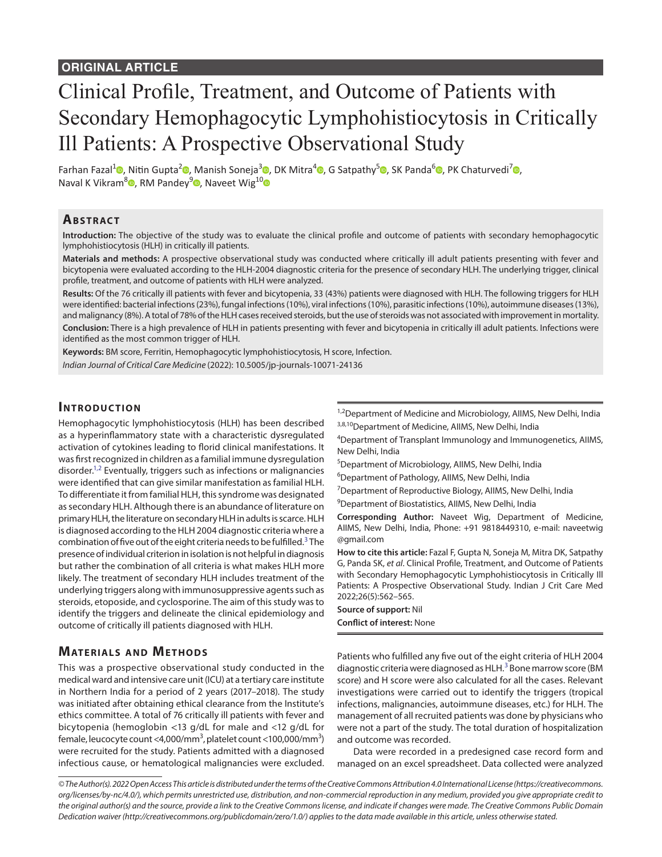# Clinical Profile, Treatment, and Outcome of Patients with Secondary Hemophagocytic Lymphohistiocytosis in Critically Ill Patients: A Prospective Observational Study

Farhan Fazal<sup>1</sup> [,](https://orcid.org/0000-0002-8229-9936) Nitin Gupta<sup>2</sup> , Manish Soneja<sup>3</sup> , DK Mitra<sup>4</sup> , G Satpathy<sup>5</sup> , SK Panda<sup>6</sup> , PK Chaturvedi<sup>7</sup> , Naval K Vikram<sup>8</sup> $\Phi$ [,](https://orcid.org/0000-0002-5613-0512 
) RM Pandey<sup>9</sup> $\Phi$ , Naveet Wig<sup>1[0](https://orcid.org/0000-0002-6603-601X
)</sup> $\Phi$ 

## **ABSTRACT**

**Introduction:** The objective of the study was to evaluate the clinical profile and outcome of patients with secondary hemophagocytic lymphohistiocytosis (HLH) in critically ill patients.

**Materials and methods:** A prospective observational study was conducted where critically ill adult patients presenting with fever and bicytopenia were evaluated according to the HLH-2004 diagnostic criteria for the presence of secondary HLH. The underlying trigger, clinical profile, treatment, and outcome of patients with HLH were analyzed.

**Results:** Of the 76 critically ill patients with fever and bicytopenia, 33 (43%) patients were diagnosed with HLH. The following triggers for HLH were identified: bacterial infections (23%), fungal infections (10%), viral infections (10%), parasitic infections (10%), autoimmune diseases (13%), and malignancy (8%). A total of 78% of the HLH cases received steroids, but the use of steroids was not associated with improvement in mortality.

**Conclusion:** There is a high prevalence of HLH in patients presenting with fever and bicytopenia in critically ill adult patients. Infections were identified as the most common trigger of HLH.

**Keywords:** BM score, Ferritin, Hemophagocytic lymphohistiocytosis, H score, Infection.

*Indian Journal of Critical Care Medicine* (2022): 10.5005/jp-journals-10071-24136

## **INTRODUCTION**

Hemophagocytic lymphohistiocytosis (HLH) has been described as a hyperinflammatory state with a characteristic dysregulated activation of cytokines leading to florid clinical manifestations. It was first recognized in children as a familial immune dysregulation disorder.<sup>1,[2](#page-3-1)</sup> Eventually, triggers such as infections or malignancies were identified that can give similar manifestation as familial HLH. To differentiate it from familial HLH, this syndrome was designated as secondary HLH. Although there is an abundance of literature on primary HLH, the literature on secondary HLH in adults is scarce. HLH is diagnosed according to the HLH 2004 diagnostic criteria where a combination of five out of the eight criteria needs to be fulfilled.<sup>[3](#page-3-2)</sup> The presence of individual criterion in isolation is not helpful in diagnosis but rather the combination of all criteria is what makes HLH more likely. The treatment of secondary HLH includes treatment of the underlying triggers along with immunosuppressive agents such as steroids, etoposide, and cyclosporine. The aim of this study was to identify the triggers and delineate the clinical epidemiology and outcome of critically ill patients diagnosed with HLH.

# <sup>1,2</sup>Department of Medicine and Microbiology, AIIMS, New Delhi, India 3,8,10 Department of Medicine, AllMS, New Delhi, India

4 Department of Transplant Immunology and Immunogenetics, AIIMS, New Delhi, India

5 Department of Microbiology, AIIMS, New Delhi, India

<sup>6</sup>Department of Pathology, AIIMS, New Delhi, India

<sup>7</sup>Department of Reproductive Biology, AIIMS, New Delhi, India

9 Department of Biostatistics, AIIMS, New Delhi, India

**Corresponding Author:** Naveet Wig, Department of Medicine, AIIMS, New Delhi, India, Phone: +91 9818449310, e-mail: naveetwig @gmail.com

**How to cite this article:** Fazal F, Gupta N, Soneja M, Mitra DK, Satpathy G, Panda SK, *et al*. Clinical Profile, Treatment, and Outcome of Patients with Secondary Hemophagocytic Lymphohistiocytosis in Critically Ill Patients: A Prospective Observational Study. Indian J Crit Care Med 2022;26(5):562–565.

#### **Source of support:** Nil **Conflict of interest:** None

# **MATERIALS AND METHODS**

This was a prospective observational study conducted in the medical ward and intensive care unit (ICU) at a tertiary care institute in Northern India for a period of 2 years (2017–2018). The study was initiated after obtaining ethical clearance from the Institute's ethics committee. A total of 76 critically ill patients with fever and bicytopenia (hemoglobin <13 g/dL for male and <12 g/dL for female, leucocyte count <4,000/mm $^3$ , platelet count <100,000/mm $^3$ ) were recruited for the study. Patients admitted with a diagnosed infectious cause, or hematological malignancies were excluded. Patients who fulfilled any five out of the eight criteria of HLH 2004 diagnostic criteria were diagnosed as HLH.<sup>[3](#page-3-2)</sup> Bone marrow score (BM score) and H score were also calculated for all the cases. Relevant investigations were carried out to identify the triggers (tropical infections, malignancies, autoimmune diseases, etc.) for HLH. The management of all recruited patients was done by physicians who were not a part of the study. The total duration of hospitalization and outcome was recorded.

Data were recorded in a predesigned case record form and managed on an excel spreadsheet. Data collected were analyzed

*<sup>©</sup> The Author(s). 2022 Open Access This article is distributed under the terms of the Creative Commons Attribution 4.0 International License (https://creativecommons. org/licenses/by-nc/4.0/), which permits unrestricted use, distribution, and non-commercial reproduction in any medium, provided you give appropriate credit to the original author(s) and the source, provide a link to the Creative Commons license, and indicate if changes were made. The Creative Commons Public Domain Dedication waiver (http://creativecommons.org/publicdomain/zero/1.0/) applies to the data made available in this article, unless otherwise stated.*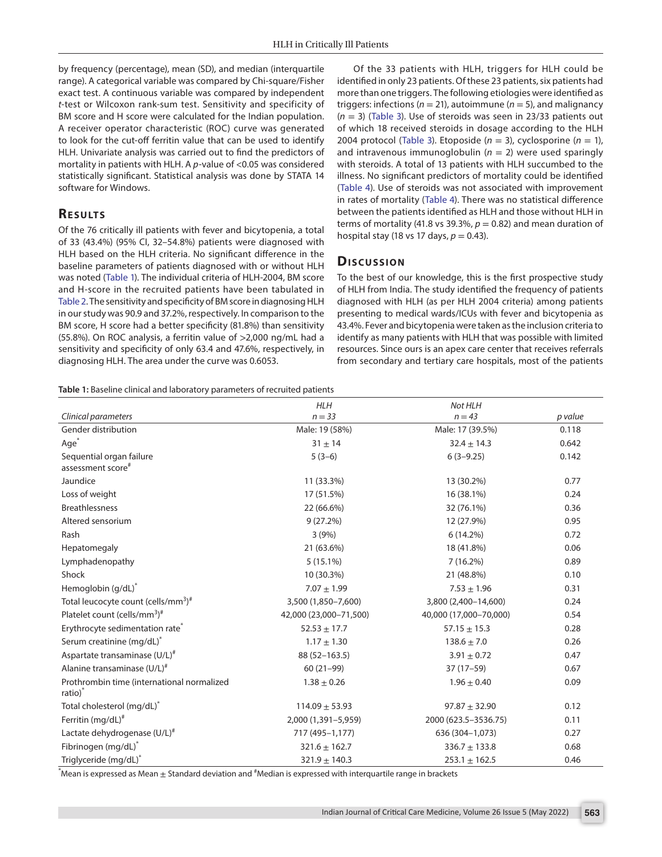by frequency (percentage), mean (SD), and median (interquartile range). A categorical variable was compared by Chi-square/Fisher exact test. A continuous variable was compared by independent *t*-test or Wilcoxon rank-sum test. Sensitivity and specificity of BM score and H score were calculated for the Indian population. A receiver operator characteristic (ROC) curve was generated to look for the cut-off ferritin value that can be used to identify HLH. Univariate analysis was carried out to find the predictors of mortality in patients with HLH. A *p*-value of <0.05 was considered statistically significant. Statistical analysis was done by STATA 14 software for Windows.

## **RESULTS**

Of the 76 critically ill patients with fever and bicytopenia, a total of 33 (43.4%) (95% CI, 32–54.8%) patients were diagnosed with HLH based on the HLH criteria. No significant difference in the baseline parameters of patients diagnosed with or without HLH was noted ([Table 1](#page-1-0)). The individual criteria of HLH-2004, BM score and H-score in the recruited patients have been tabulated in [Table 2.](#page-2-0) The sensitivity and specificity of BM score in diagnosing HLH in our study was 90.9 and 37.2%, respectively. In comparison to the BM score, H score had a better specificity (81.8%) than sensitivity (55.8%). On ROC analysis, a ferritin value of >2,000 ng/mL had a sensitivity and specificity of only 63.4 and 47.6%, respectively, in diagnosing HLH. The area under the curve was 0.6053.

Of the 33 patients with HLH, triggers for HLH could be identified in only 23 patients. Of these 23 patients, six patients had more than one triggers. The following etiologies were identified as triggers: infections ( $n = 21$ ), autoimmune ( $n = 5$ ), and malignancy (*n* = 3) ([Table 3](#page-2-1)). Use of steroids was seen in 23/33 patients out of which 18 received steroids in dosage according to the HLH 2004 protocol ([Table 3\)](#page-2-1). Etoposide  $(n = 3)$ , cyclosporine  $(n = 1)$ , and intravenous immunoglobulin ( $n = 2$ ) were used sparingly with steroids. A total of 13 patients with HLH succumbed to the illness. No significant predictors of mortality could be identified ([Table 4\)](#page-2-2). Use of steroids was not associated with improvement in rates of mortality ([Table 4\)](#page-2-2). There was no statistical difference between the patients identified as HLH and those without HLH in terms of mortality (41.8 vs 39.3%,  $p = 0.82$ ) and mean duration of hospital stay (18 vs 17 days,  $p = 0.43$ ).

## **Dis c u s sio n**

To the best of our knowledge, this is the first prospective study of HLH from India. The study identified the frequency of patients diagnosed with HLH (as per HLH 2004 criteria) among patients presenting to medical wards/ICUs with fever and bicytopenia as 43.4%. Fever and bicytopenia were taken as the inclusion criteria to identify as many patients with HLH that was possible with limited resources. Since ours is an apex care center that receives referrals from secondary and tertiary care hospitals, most of the patients

<span id="page-1-0"></span>**Table 1:** Baseline clinical and laboratory parameters of recruited patients

|                                                                   | <b>HLH</b>             | Not HLH                |         |
|-------------------------------------------------------------------|------------------------|------------------------|---------|
| Clinical parameters                                               | $n = 33$               | $n = 43$               | p value |
| Gender distribution                                               | Male: 19 (58%)         | Male: 17 (39.5%)       | 0.118   |
| Age <sup>*</sup>                                                  | $31 \pm 14$            | $32.4 \pm 14.3$        | 0.642   |
| Sequential organ failure<br>assessment score#                     | $5(3-6)$               | $6(3-9.25)$            | 0.142   |
| Jaundice                                                          | 11 (33.3%)             | 13 (30.2%)             | 0.77    |
| Loss of weight                                                    | 17 (51.5%)             | 16 (38.1%)             | 0.24    |
| <b>Breathlessness</b>                                             | 22 (66.6%)             | 32 (76.1%)             | 0.36    |
| Altered sensorium                                                 | $9(27.2\%)$            | 12 (27.9%)             | 0.95    |
| Rash                                                              | 3(9%)                  | $6(14.2\%)$            | 0.72    |
| Hepatomegaly                                                      | 21 (63.6%)             | 18 (41.8%)             | 0.06    |
| Lymphadenopathy                                                   | $5(15.1\%)$            | $7(16.2\%)$            | 0.89    |
| Shock                                                             | 10 (30.3%)             | 21 (48.8%)             | 0.10    |
| Hemoglobin (g/dL)*                                                | $7.07 \pm 1.99$        | $7.53 \pm 1.96$        | 0.31    |
| Total leucocyte count (cells/mm <sup>3</sup> ) <sup>#</sup>       | 3,500 (1,850-7,600)    | 3,800 (2,400-14,600)   | 0.24    |
| Platelet count (cells/mm <sup>3</sup> ) <sup>#</sup>              | 42,000 (23,000-71,500) | 40,000 (17,000-70,000) | 0.54    |
| Erythrocyte sedimentation rate <sup>®</sup>                       | $52.53 \pm 17.7$       | $57.15 \pm 15.3$       | 0.28    |
| Serum creatinine (mg/dL) <sup>*</sup>                             | $1.17 \pm 1.30$        | $138.6 \pm 7.0$        | 0.26    |
| Aspartate transaminase (U/L) <sup>#</sup>                         | 88 (52-163.5)          | $3.91 \pm 0.72$        | 0.47    |
| Alanine transaminase (U/L) <sup>#</sup>                           | $60(21-99)$            | $37(17-59)$            | 0.67    |
| Prothrombin time (international normalized<br>ratio) <sup>*</sup> | $1.38 \pm 0.26$        | $1.96 \pm 0.40$        | 0.09    |
| Total cholesterol (mg/dL)*                                        | $114.09 \pm 53.93$     | $97.87 \pm 32.90$      | 0.12    |
| Ferritin $(mg/dL)^*$                                              | 2,000 (1,391-5,959)    | 2000 (623.5-3536.75)   | 0.11    |
| Lactate dehydrogenase (U/L) <sup>#</sup>                          | 717 (495-1,177)        | 636 (304-1,073)        | 0.27    |
| Fibrinogen (mg/dL)*                                               | $321.6 \pm 162.7$      | $336.7 \pm 133.8$      | 0.68    |
| Triglyceride (mg/dL)*                                             | $321.9 \pm 140.3$      | $253.1 \pm 162.5$      | 0.46    |

 $\,$  Mean is expressed as Mean  $\pm$  Standard deviation and  $^{\#}$ Median is expressed with interquartile range in brackets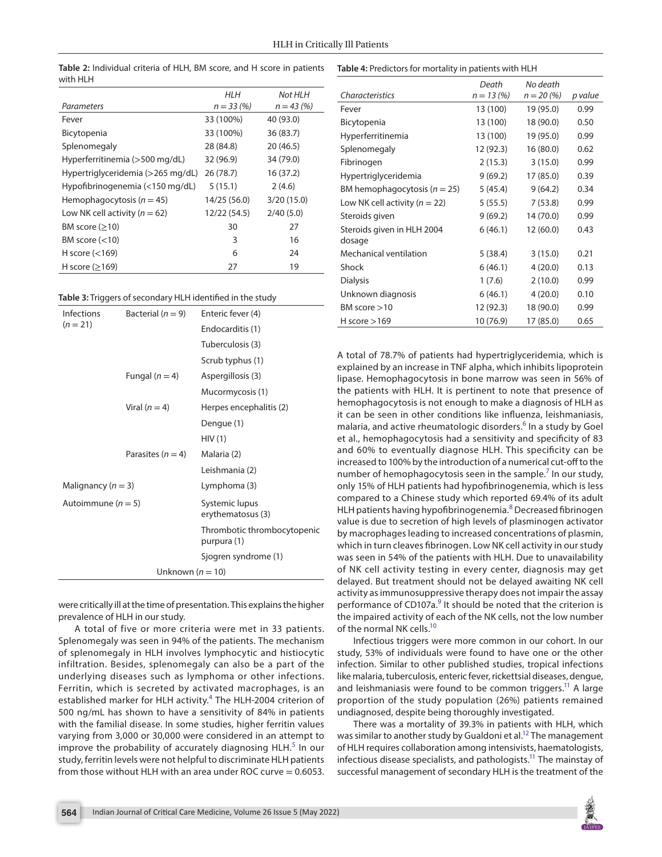|                                   | <b>HLH</b>   | Not HLH      |
|-----------------------------------|--------------|--------------|
| Parameters                        | $n = 33(%)$  | $n = 43 (%)$ |
| Fever                             | 33 (100%)    | 40 (93.0)    |
| Bicytopenia                       | 33 (100%)    | 36 (83.7)    |
| Splenomegaly                      | 28 (84.8)    | 20 (46.5)    |
| Hyperferritinemia (>500 mg/dL)    | 32 (96.9)    | 34 (79.0)    |
| Hypertriglyceridemia (>265 mg/dL) | 26(78.7)     | 16(37.2)     |
| Hypofibrinogenemia (<150 mg/dL)   | 5(15.1)      | 2(4.6)       |
| Hemophagocytosis ( $n = 45$ )     | 14/25 (56.0) | 3/20(15.0)   |
| Low NK cell activity ( $n = 62$ ) | 12/22 (54.5) | 2/40(5.0)    |
| BM score $(≥10)$                  | 30           | 27           |
| BM score $(<10)$                  | 3            | 16           |
| H score $(<169)$                  | 6            | 24           |
| H score $(≥169)$                  | 27           | 19           |

<span id="page-2-0"></span>**Table 2:** Individual criteria of HLH, BM score, and H score in patients with HLH

<span id="page-2-1"></span>**Table 3:** Triggers of secondary HLH identified in the study

| Infections             | Bacterial ( $n = 9$ ) | Enteric fever (4)                          |  |  |
|------------------------|-----------------------|--------------------------------------------|--|--|
| $(n = 21)$             |                       | Endocarditis (1)                           |  |  |
|                        |                       | Tuberculosis (3)                           |  |  |
|                        |                       | Scrub typhus (1)                           |  |  |
|                        | Fungal $(n = 4)$      | Aspergillosis (3)                          |  |  |
|                        |                       | Mucormycosis (1)                           |  |  |
|                        | Viral $(n=4)$         | Herpes encephalitis (2)                    |  |  |
|                        |                       | Dengue (1)                                 |  |  |
|                        |                       | HIV(1)                                     |  |  |
|                        | Parasites ( $n = 4$ ) | Malaria (2)                                |  |  |
|                        |                       | Leishmania (2)                             |  |  |
| Malignancy ( $n = 3$ ) |                       | Lymphoma (3)                               |  |  |
| Autoimmune ( $n = 5$ ) |                       | Systemic lupus<br>erythematosus (3)        |  |  |
|                        |                       | Thrombotic thrombocytopenic<br>purpura (1) |  |  |
|                        |                       | Sjogren syndrome (1)                       |  |  |
| Unknown $(n = 10)$     |                       |                                            |  |  |
|                        |                       |                                            |  |  |

were critically ill at the time of presentation. This explains the higher prevalence of HLH in our study.

A total of five or more criteria were met in 33 patients. Splenomegaly was seen in 94% of the patients. The mechanism of splenomegaly in HLH involves lymphocytic and histiocytic infiltration. Besides, splenomegaly can also be a part of the underlying diseases such as lymphoma or other infections. Ferritin, which is secreted by activated macrophages, is an established marker for HLH activity.<sup>[4](#page-3-10)</sup> The HLH-2004 criterion of 500 ng/mL has shown to have a sensitivity of 84% in patients with the familial disease. In some studies, higher ferritin values varying from 3,000 or 30,000 were considered in an attempt to improve the probability of accurately diagnosing  $HLH<sup>5</sup>$  $HLH<sup>5</sup>$  $HLH<sup>5</sup>$  In our study, ferritin levels were not helpful to discriminate HLH patients from those without HLH with an area under ROC curve  $= 0.6053$ .

#### <span id="page-2-2"></span>**Table 4:** Predictors for mortality in patients with HLH

|                                   | Death       | No death    |         |
|-----------------------------------|-------------|-------------|---------|
| Characteristics                   | $n = 13(%)$ | $n = 20(%)$ | p value |
| Fever                             | 13 (100)    | 19 (95.0)   | 0.99    |
| Bicytopenia                       | 13 (100)    | 18 (90.0)   | 0.50    |
| Hyperferritinemia                 | 13 (100)    | 19 (95.0)   | 0.99    |
| Splenomegaly                      | 12 (92.3)   | 16(80.0)    | 0.62    |
| Fibrinogen                        | 2(15.3)     | 3(15.0)     | 0.99    |
| Hypertriglyceridemia              | 9(69.2)     | 17 (85.0)   | 0.39    |
| BM hemophagocytosis ( $n = 25$ )  | 5 (45.4)    | 9(64.2)     | 0.34    |
| Low NK cell activity ( $n = 22$ ) | 5(55.5)     | 7(53.8)     | 0.99    |
| Steroids given                    | 9(69.2)     | 14 (70.0)   | 0.99    |
| Steroids given in HLH 2004        | 6(46.1)     | 12(60.0)    | 0.43    |
| dosage                            |             |             |         |
| Mechanical ventilation            | 5(38.4)     | 3(15.0)     | 0.21    |
| Shock                             | 6(46.1)     | 4(20.0)     | 0.13    |
| <b>Dialysis</b>                   | 1(7.6)      | 2(10.0)     | 0.99    |
| Unknown diagnosis                 | 6(46.1)     | 4(20.0)     | 0.10    |
| BM score $>10$                    | 12 (92.3)   | 18 (90.0)   | 0.99    |
| H score $>169$                    | 10 (76.9)   | 17 (85.0)   | 0.65    |

A total of 78.7% of patients had hypertriglyceridemia, which is explained by an increase in TNF alpha, which inhibits lipoprotein lipase. Hemophagocytosis in bone marrow was seen in 56% of the patients with HLH. It is pertinent to note that presence of hemophagocytosis is not enough to make a diagnosis of HLH as it can be seen in other conditions like influenza, leishmaniasis, malaria, and active rheumatologic disorders.<sup>[6](#page-3-3)</sup> In a study by Goel et al., hemophagocytosis had a sensitivity and specificity of 83 and 60% to eventually diagnose HLH. This specificity can be increased to 100% by the introduction of a numerical cut-off to the number of hemophagocytosis seen in the sample.<sup>[7](#page-3-4)</sup> In our study, only 15% of HLH patients had hypofibrinogenemia, which is less compared to a Chinese study which reported 69.4% of its adult HLH patients having hypofibrinogenemia.<sup>[8](#page-3-5)</sup> Decreased fibrinogen value is due to secretion of high levels of plasminogen activator by macrophages leading to increased concentrations of plasmin, which in turn cleaves fibrinogen. Low NK cell activity in our study was seen in 54% of the patients with HLH. Due to unavailability of NK cell activity testing in every center, diagnosis may get delayed. But treatment should not be delayed awaiting NK cell activity as immunosuppressive therapy does not impair the assay performance of CD107a.<sup>9</sup> It should be noted that the criterion is the impaired activity of each of the NK cells, not the low number of the normal NK cells.<sup>10</sup>

Infectious triggers were more common in our cohort. In our study, 53% of individuals were found to have one or the other infection. Similar to other published studies, tropical infections like malaria, tuberculosis, enteric fever, rickettsial diseases, dengue, and leishmaniasis were found to be common triggers.<sup>11</sup> A large proportion of the study population (26%) patients remained undiagnosed, despite being thoroughly investigated.

There was a mortality of 39.3% in patients with HLH, which was similar to another study by Gualdoni et al.<sup>12</sup> The management of HLH requires collaboration among intensivists, haematologists, infectious disease specialists, and pathologists.<sup>11</sup> The mainstay of successful management of secondary HLH is the treatment of the